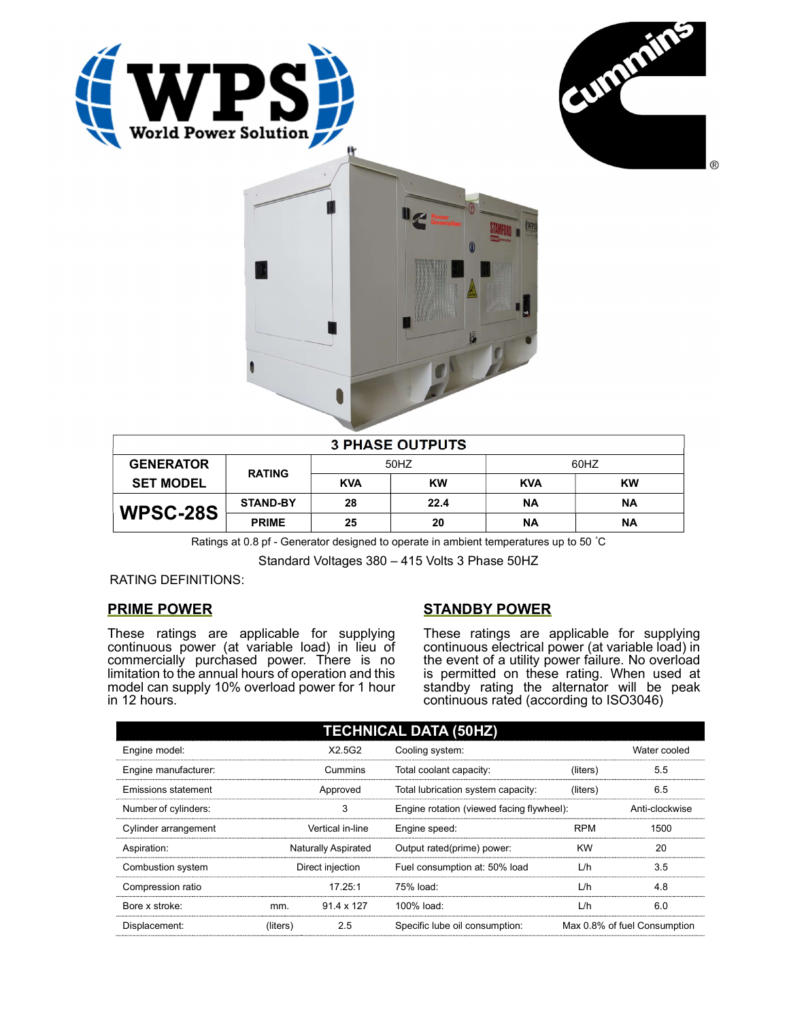





| <b>3 PHASE OUTPUTS</b> |                 |            |           |            |           |  |
|------------------------|-----------------|------------|-----------|------------|-----------|--|
| <b>GENERATOR</b>       | <b>RATING</b>   | 50HZ       |           | 60HZ       |           |  |
| <b>SET MODEL</b>       |                 | <b>KVA</b> | <b>KW</b> | <b>KVA</b> | <b>KW</b> |  |
| WPSC-28S               | <b>STAND-BY</b> | 28         | 22.4      | <b>NA</b>  | ΝA        |  |
|                        | <b>PRIME</b>    | 25         | 20        | ΝA         | ΝA        |  |

Ratings at 0.8 pf - Generator designed to operate in ambient temperatures up to 50 °C

Standard Voltages 380 – 415 Volts 3 Phase 50HZ

## RATING DEFINITIONS:

# PRIME POWER

These ratings are applicable for supplying continuous power (at variable load) in lieu of commercially purchased power. There is no limitation to the annual hours of operation and this model can supply 10% overload power for 1 hour in 12 hours.

# STANDBY POWER

These ratings are applicable for supplying continuous electrical power (at variable load) in the event of a utility power failure. No overload is permitted on these rating. When used at standby rating the alternator will be peak continuous rated (according to ISO3046)

| <b>TECHNICAL DATA (50HZ)</b> |                     |            |                                           |            |                              |  |  |
|------------------------------|---------------------|------------|-------------------------------------------|------------|------------------------------|--|--|
| Engine model:                |                     | X2.5G2     | Cooling system:                           |            | Water cooled                 |  |  |
| Engine manufacturer:         | Cummins             |            | Total coolant capacity:                   | (liters)   | 5.5                          |  |  |
| Emissions statement          | Approved            |            | Total lubrication system capacity:        | (liters)   | 6.5                          |  |  |
| Number of cylinders:         | 3                   |            | Engine rotation (viewed facing flywheel): |            | Anti-clockwise               |  |  |
| Cylinder arrangement         | Vertical in-line    |            | Engine speed:                             | <b>RPM</b> | 1500                         |  |  |
| Aspiration:                  | Naturally Aspirated |            | Output rated(prime) power:                | <b>KW</b>  | 20                           |  |  |
| Combustion system            | Direct injection    |            | Fuel consumption at: 50% load             | L/h        | 3.5                          |  |  |
| Compression ratio            |                     | 17.25:1    | 75% load:                                 | L/h        | 4.8                          |  |  |
| Bore x stroke:               | mm.                 | 91.4 x 127 | 100% load:                                | L/h        | 6.0                          |  |  |
| Displacement:                | (liters)            | 2.5        | Specific lube oil consumption:            |            | Max 0.8% of fuel Consumption |  |  |